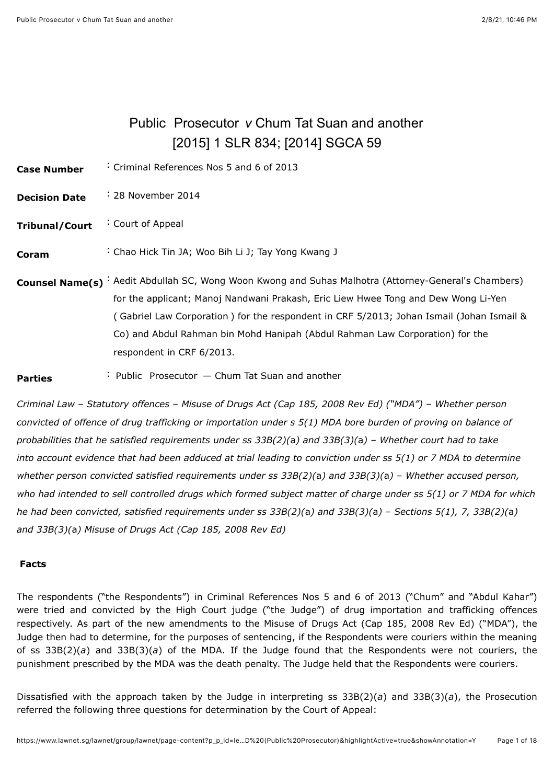# Public Prosecutor *v* Chum Tat Suan and another [\[2015\] 1 SLR 834](javascript:viewPageContent(); [\[2014\] SGCA 59](javascript:viewPageContent()

<span id="page-0-0"></span>**Case Number** : Criminal References Nos 5 and 6 of 2013

- **Decision Date** : 28 November 2014
- **Tribunal/Court** : Court of Appeal
- **Coram** : [Chao Hick Tin JA;](javascript:actionFiltering() [Woo Bih Li J;](javascript:actionFiltering() [Tay Yong Kwang J](javascript:actionFiltering()
- **Counsel Name(s)** : Aedit Abdullah SC, Wong Woon Kwong and Suhas Malhotra (Attorney-General's Chambers) for the applicant; Manoj Nandwani Prakash, Eric Liew Hwee Tong and Dew Wong Li-Yen ( Gabriel Law Corporation ) for the respondent in CRF 5/2013; Johan Ismail (Johan Ismail & Co) and Abdul Rahman bin Mohd Hanipah (Abdul Rahman Law Corporation) for the respondent in CRF 6/2013.
- **Parties** : Public Prosecutor Chum Tat Suan and another

*Criminal Law* – *Statutory offences* – *Misuse of Drugs Act (Cap 185, 2008 Rev Ed) ("MDA")* – *Whether person convicted of offence of drug trafficking or importation under s 5(1) MDA bore burden of proving on balance of probabilities that he satisfied requirements under ss 33B(2)(*a*) and 33B(3)(*a*)* – *Whether court had to take into account evidence that had been adduced at trial leading to conviction under ss 5(1) or 7 MDA to determine whether person convicted satisfied requirements under ss 33B(2)(*a*) and 33B(3)(*a*)* – *Whether accused person, who had intended to sell controlled drugs which formed subject matter of charge under ss 5(1) or 7 MDA for which he had been convicted, satisfied requirements under ss 33B(2)(*a*) and 33B(3)(*a*)* – *Sections 5(1), 7, 33B(2)(*a*) and 33B(3)(*a*) Misuse of Drugs Act (Cap 185, 2008 Rev Ed)*

#### **Facts**

The respondents ("the Respondents") in Criminal References Nos 5 and 6 of 2013 ("Chum" and "Abdul Kahar") were tried and convicted by the High Court judge ("the Judge") of drug importation and trafficking offences respectively. As part of the new amendments to the Misuse of Drugs Act (Cap 185, 2008 Rev Ed) ("MDA"), the Judge then had to determine, for the purposes of sentencing, if the Respondents were couriers within the meaning of ss 33B(2)(*a*) and 33B(3)(*a*) of the MDA. If the Judge found that the Respondents were not couriers, the punishment prescribed by the MDA was the death penalty. The Judge held that the Respondents were couriers.

Dissatisfied with the approach taken by the Judge in interpreting ss 33B(2)(*a*) and 33B(3)(*a*), the Prosecution referred the following three questions for determination by the Court of Appeal: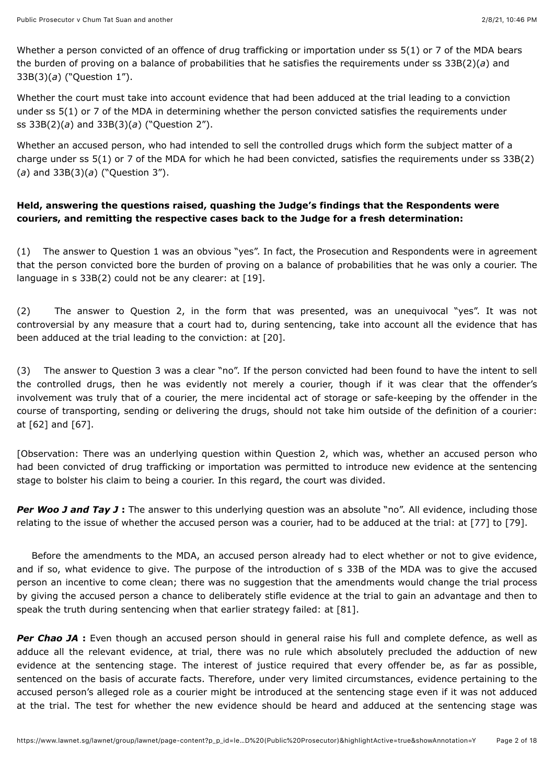Whether a person convicted of an offence of drug trafficking or importation under ss 5(1) or 7 of the MDA bears the burden of proving on a balance of probabilities that he satisfies the requirements under ss 33B(2)(*a*) and 33B(3)(*a*) ("Question 1").

Whether the court must take into account evidence that had been adduced at the trial leading to a conviction under ss 5(1) or 7 of the MDA in determining whether the person convicted satisfies the requirements under ss 33B(2)(*a*) and 33B(3)(*a*) ("Question 2").

Whether an accused person, who had intended to sell the controlled drugs which form the subject matter of a charge under ss 5(1) or 7 of the MDA for which he had been convicted, satisfies the requirements under ss 33B(2) (*a*) and 33B(3)(*a*) ("Question 3").

# **Held, answering the questions raised, quashing the Judge's findings that the Respondents were couriers, and remitting the respective cases back to the Judge for a fresh determination:**

(1) The answer to Question 1 was an obvious "yes". In fact, the Prosecution and Respondents were in agreement that the person convicted bore the burden of proving on a balance of probabilities that he was only a courier. The language in  $s$  33B(2) could not be any clearer: at  $[19]$ .

(2) The answer to Question 2, in the form that was presented, was an unequivocal "yes". It was not controversial by any measure that a court had to, during sentencing, take into account all the evidence that has been adduced at the trial leading to the conviction: at [\[20\]](#page-7-1).

(3) The answer to Question 3 was a clear "no". If the person convicted had been found to have the intent to sell the controlled drugs, then he was evidently not merely a courier, though if it was clear that the offender's involvement was truly that of a courier, the mere incidental act of storage or safe-keeping by the offender in the course of transporting, sending or delivering the drugs, should not take him outside of the definition of a courier: at [\[62\]](#page-14-0) and [\[67\]](#page-15-0).

[Observation: There was an underlying question within Question 2, which was, whether an accused person who had been convicted of drug trafficking or importation was permitted to introduce new evidence at the sentencing stage to bolster his claim to being a courier. In this regard, the court was divided.

**Per Woo J and Tay J :** The answer to this underlying question was an absolute "no". All evidence, including those relating to the issue of whether the accused person was a courier, had to be adduced at the trial: at [\[77\]](#page-16-0) to [\[79\]](#page-16-1).

Before the amendments to the MDA, an accused person already had to elect whether or not to give evidence, and if so, what evidence to give. The purpose of the introduction of s 33B of the MDA was to give the accused person an incentive to come clean; there was no suggestion that the amendments would change the trial process by giving the accused person a chance to deliberately stifle evidence at the trial to gain an advantage and then to speak the truth during sentencing when that earlier strategy failed: at [\[81\]](#page-17-0).

**Per Chao JA :** Even though an accused person should in general raise his full and complete defence, as well as adduce all the relevant evidence, at trial, there was no rule which absolutely precluded the adduction of new evidence at the sentencing stage. The interest of justice required that every offender be, as far as possible, sentenced on the basis of accurate facts. Therefore, under very limited circumstances, evidence pertaining to the accused person's alleged role as a courier might be introduced at the sentencing stage even if it was not adduced at the trial. The test for whether the new evidence should be heard and adduced at the sentencing stage was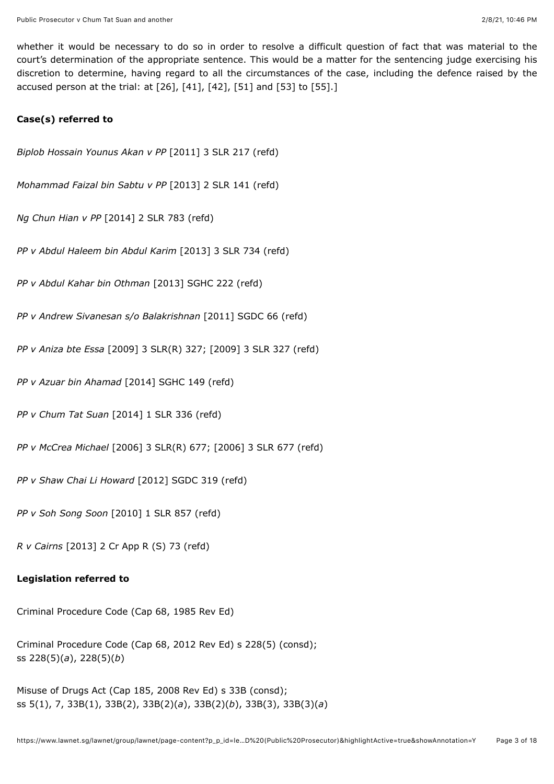whether it would be necessary to do so in order to resolve a difficult question of fact that was material to the court's determination of the appropriate sentence. This would be a matter for the sentencing judge exercising his discretion to determine, having regard to all the circumstances of the case, including the defence raised by the accused person at the trial: at [\[26\],](#page-8-0) [\[41\]](#page-10-0), [\[42\]](#page-10-1), [\[51\]](#page-12-0) and [\[53\]](#page-12-1) to [\[55\].](#page-13-0)]

#### **Case(s) referred to**

*Biplob Hossain Younus Akan v PP* [\[2011\] 3 SLR 217](javascript:viewPageContent() (refd)

*Mohammad Faizal bin Sabtu v PP* [\[2013\] 2 SLR 141](javascript:viewPageContent() (refd)

*Ng Chun Hian v PP* [\[2014\] 2 SLR 783](javascript:viewPageContent() (refd)

*PP v Abdul Haleem bin Abdul Karim* [\[2013\] 3 SLR 734](javascript:viewPageContent() (refd)

*PP v Abdul Kahar bin Othman* [\[2013\] SGHC 222](javascript:viewPageContent() (refd)

*PP v Andrew Sivanesan s/o Balakrishnan* [\[2011\] SGDC 66](javascript:viewPageContent() (refd)

*PP v Aniza bte Essa* [\[2009\] 3 SLR\(R\) 327](javascript:viewPageContent(); [\[2009\] 3 SLR 327](javascript:viewPageContent() (refd)

*PP v Azuar bin Ahamad* [\[2014\] SGHC 149](javascript:viewPageContent() (refd)

*PP v Chum Tat Suan* [\[2014\] 1 SLR 336](javascript:viewPageContent() (refd)

*PP v McCrea Michael* [\[2006\] 3 SLR\(R\) 677;](javascript:viewPageContent() [\[2006\] 3 SLR 677](javascript:viewPageContent() (refd)

*PP v Shaw Chai Li Howard* [\[2012\] SGDC 319](javascript:viewPageContent() (refd)

*PP v Soh Song Soon* [\[2010\] 1 SLR 857](javascript:viewPageContent() (refd)

*R v Cairns* [2013] 2 Cr App R (S) 73 (refd)

#### **Legislation referred to**

Criminal Procedure Code (Cap 68, 1985 Rev Ed)

Criminal Procedure Code (Cap 68, 2012 Rev Ed) s 228(5) (consd); ss 228(5)(*a*), 228(5)(*b*)

Misuse of Drugs Act (Cap 185, 2008 Rev Ed) s 33B (consd); ss 5(1), 7, 33B(1), 33B(2), 33B(2)(*a*), 33B(2)(*b*), 33B(3), 33B(3)(*a*)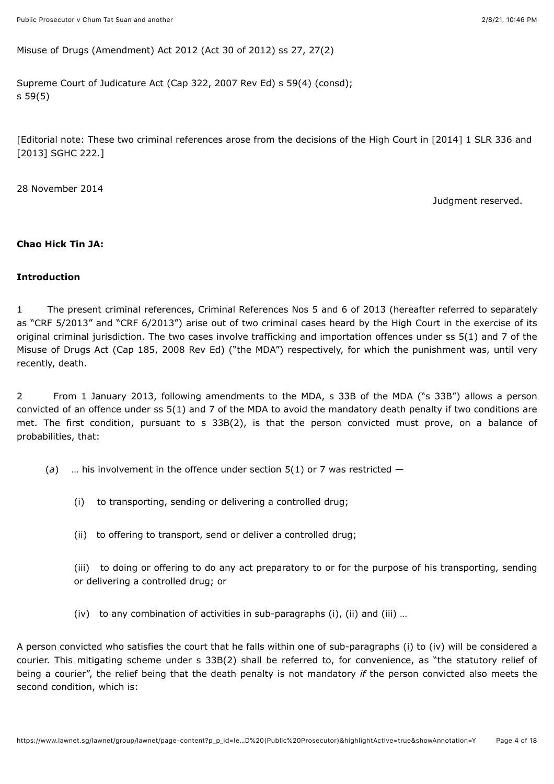Misuse of Drugs (Amendment) Act 2012 (Act 30 of 2012) ss 27, 27(2)

Supreme Court of Judicature Act (Cap 322, 2007 Rev Ed) s 59(4) (consd); s 59(5)

[Editorial note: These two criminal references arose from the decisions of the High Court in [\[2014\] 1 SLR 336](javascript:viewPageContent() and [\[2013\] SGHC 222](javascript:viewPageContent().]

28 November 2014

Judgment reserved.

## **Chao Hick Tin JA:**

#### **Introduction**

1 The present criminal references, Criminal References Nos 5 and 6 of 2013 (hereafter referred to separately as "CRF 5/2013" and "CRF 6/2013") arise out of two criminal cases heard by the High Court in the exercise of its original criminal jurisdiction. The two cases involve trafficking and importation offences under ss 5(1) and 7 of the Misuse of Drugs Act (Cap 185, 2008 Rev Ed) ("the MDA") respectively, for which the punishment was, until very recently, death.

2 From 1 January 2013, following amendments to the MDA, s 33B of the MDA ("s 33B") allows a person convicted of an offence under ss 5(1) and 7 of the MDA to avoid the mandatory death penalty if two conditions are met. The first condition, pursuant to s 33B(2), is that the person convicted must prove, on a balance of probabilities, that:

- (*a*) … his involvement in the offence under section 5(1) or 7 was restricted
	- (i) to transporting, sending or delivering a controlled drug;
	- (ii) to offering to transport, send or deliver a controlled drug;

(iii) to doing or offering to do any act preparatory to or for the purpose of his transporting, sending or delivering a controlled drug; or

(iv) to any combination of activities in sub-paragraphs  $(i)$ ,  $(ii)$  and  $(iii)$  ...

A person convicted who satisfies the court that he falls within one of sub-paragraphs (i) to (iv) will be considered a courier. This mitigating scheme under s 33B(2) shall be referred to, for convenience, as "the statutory relief of being a courier", the relief being that the death penalty is not mandatory *if* the person convicted also meets the second condition, which is: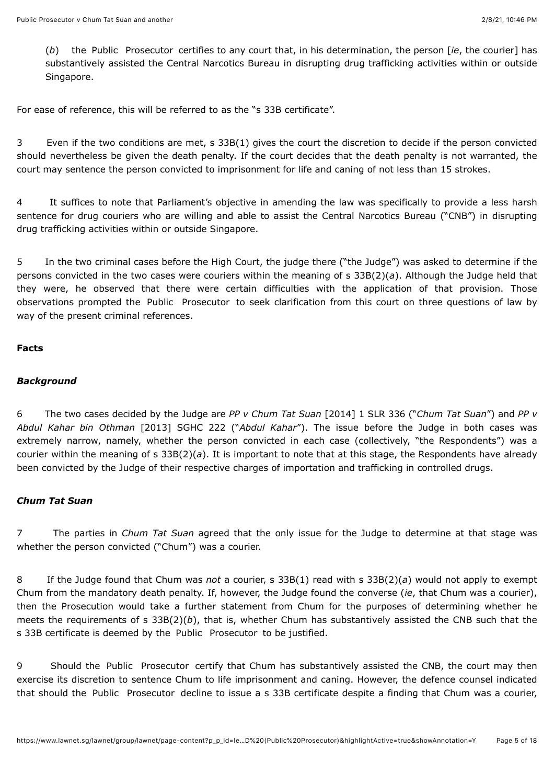(*b*) the Public Prosecutor certifies to any court that, in his determination, the person [*ie*, the courier] has substantively assisted the Central Narcotics Bureau in disrupting drug trafficking activities within or outside Singapore.

For ease of reference, this will be referred to as the "s 33B certificate".

3 Even if the two conditions are met, s 33B(1) gives the court the discretion to decide if the person convicted should nevertheless be given the death penalty. If the court decides that the death penalty is not warranted, the court may sentence the person convicted to imprisonment for life and caning of not less than 15 strokes.

4 It suffices to note that Parliament's objective in amending the law was specifically to provide a less harsh sentence for drug couriers who are willing and able to assist the Central Narcotics Bureau ("CNB") in disrupting drug trafficking activities within or outside Singapore.

5 In the two criminal cases before the High Court, the judge there ("the Judge") was asked to determine if the persons convicted in the two cases were couriers within the meaning of s 33B(2)(*a*). Although the Judge held that they were, he observed that there were certain difficulties with the application of that provision. Those observations prompted the Public Prosecutor to seek clarification from this court on three questions of law by way of the present criminal references.

#### **Facts**

#### *Background*

<span id="page-4-0"></span>6 The two cases decided by the Judge are *PP v Chum Tat Suan* [\[2014\] 1 SLR 336](javascript:viewPageContent() ("*Chum Tat Suan*") and *PP v Abdul Kahar bin Othman* [\[2013\] SGHC 222](javascript:viewPageContent() ("*Abdul Kahar*"). The issue before the Judge in both cases was extremely narrow, namely, whether the person convicted in each case (collectively, "the Respondents") was a courier within the meaning of s 33B(2)(*a*). It is important to note that at this stage, the Respondents have already been convicted by the Judge of their respective charges of importation and trafficking in controlled drugs.

#### *Chum Tat Suan*

7 The parties in *Chum Tat Suan* agreed that the only issue for the Judge to determine at that stage was whether the person convicted ("Chum") was a courier.

8 If the Judge found that Chum was *not* a courier, s 33B(1) read with s 33B(2)(*a*) would not apply to exempt Chum from the mandatory death penalty. If, however, the Judge found the converse (*ie*, that Chum was a courier), then the Prosecution would take a further statement from Chum for the purposes of determining whether he meets the requirements of s 33B(2)(*b*), that is, whether Chum has substantively assisted the CNB such that the s 33B certificate is deemed by the Public Prosecutor to be justified.

9 Should the Public Prosecutor certify that Chum has substantively assisted the CNB, the court may then exercise its discretion to sentence Chum to life imprisonment and caning. However, the defence counsel indicated that should the Public Prosecutor decline to issue a s 33B certificate despite a finding that Chum was a courier,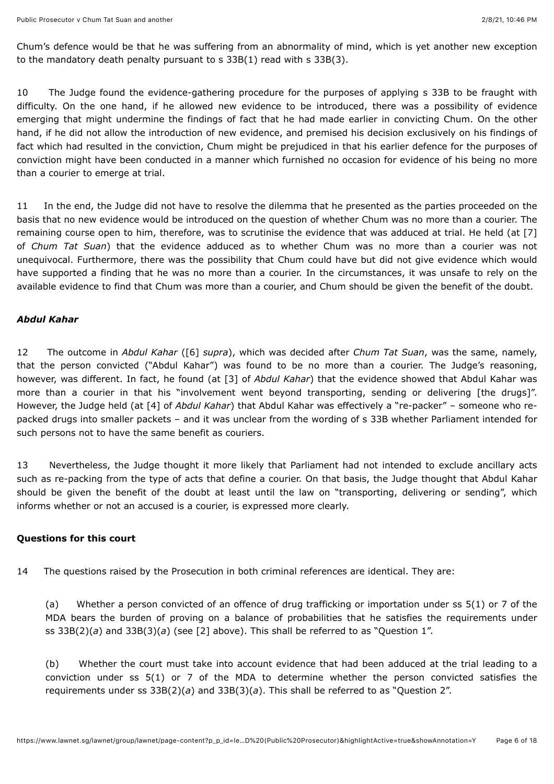Chum's defence would be that he was suffering from an abnormality of mind, which is yet another new exception to the mandatory death penalty pursuant to s 33B(1) read with s 33B(3).

10 The Judge found the evidence-gathering procedure for the purposes of applying s 33B to be fraught with difficulty. On the one hand, if he allowed new evidence to be introduced, there was a possibility of evidence emerging that might undermine the findings of fact that he had made earlier in convicting Chum. On the other hand, if he did not allow the introduction of new evidence, and premised his decision exclusively on his findings of fact which had resulted in the conviction, Chum might be prejudiced in that his earlier defence for the purposes of conviction might have been conducted in a manner which furnished no occasion for evidence of his being no more than a courier to emerge at trial.

11 In the end, the Judge did not have to resolve the dilemma that he presented as the parties proceeded on the basis that no new evidence would be introduced on the question of whether Chum was no more than a courier. The remaining course open to him, therefore, was to scrutinise the evidence that was adduced at trial. He held (at [7] of *Chum Tat Suan*) that the evidence adduced as to whether Chum was no more than a courier was not unequivocal. Furthermore, there was the possibility that Chum could have but did not give evidence which would have supported a finding that he was no more than a courier. In the circumstances, it was unsafe to rely on the available evidence to find that Chum was more than a courier, and Chum should be given the benefit of the doubt.

#### *Abdul Kahar*

12 The outcome in *Abdul Kahar* [\(\[6\]](#page-4-0) *supra*), which was decided after *Chum Tat Suan*, was the same, namely, that the person convicted ("Abdul Kahar") was found to be no more than a courier. The Judge's reasoning, however, was different. In fact, he found (at [3] of *Abdul Kahar*) that the evidence showed that Abdul Kahar was more than a courier in that his "involvement went beyond transporting, sending or delivering [the drugs]". However, the Judge held (at [4] of *Abdul Kahar*) that Abdul Kahar was effectively a "re-packer" – someone who repacked drugs into smaller packets – and it was unclear from the wording of s 33B whether Parliament intended for such persons not to have the same benefit as couriers.

13 Nevertheless, the Judge thought it more likely that Parliament had not intended to exclude ancillary acts such as re-packing from the type of acts that define a courier. On that basis, the Judge thought that Abdul Kahar should be given the benefit of the doubt at least until the law on "transporting, delivering or sending", which informs whether or not an accused is a courier, is expressed more clearly.

## **Questions for this court**

14 The questions raised by the Prosecution in both criminal references are identical. They are:

(a) Whether a person convicted of an offence of drug trafficking or importation under ss 5(1) or 7 of the MDA bears the burden of proving on a balance of probabilities that he satisfies the requirements under ss 33B(2)(*a*) and 33B(3)(*a*) (see [2] above). This shall be referred to as "Question 1".

(b) Whether the court must take into account evidence that had been adduced at the trial leading to a conviction under ss 5(1) or 7 of the MDA to determine whether the person convicted satisfies the requirements under ss 33B(2)(*a*) and 33B(3)(*a*). This shall be referred to as "Question 2".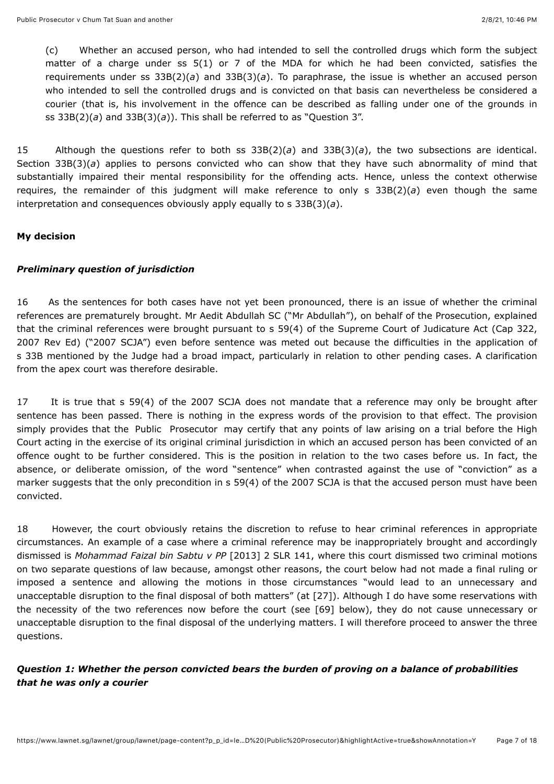(c) Whether an accused person, who had intended to sell the controlled drugs which form the subject matter of a charge under ss 5(1) or 7 of the MDA for which he had been convicted, satisfies the requirements under ss 33B(2)(*a*) and 33B(3)(*a*). To paraphrase, the issue is whether an accused person who intended to sell the controlled drugs and is convicted on that basis can nevertheless be considered a courier (that is, his involvement in the offence can be described as falling under one of the grounds in ss 33B(2)(*a*) and 33B(3)(*a*)). This shall be referred to as "Question 3".

15 Although the questions refer to both ss 33B(2)(*a*) and 33B(3)(*a*), the two subsections are identical. Section 33B(3)(*a*) applies to persons convicted who can show that they have such abnormality of mind that substantially impaired their mental responsibility for the offending acts. Hence, unless the context otherwise requires, the remainder of this judgment will make reference to only s 33B(2)(*a*) even though the same interpretation and consequences obviously apply equally to s 33B(3)(*a*).

## **My decision**

#### *Preliminary question of jurisdiction*

16 As the sentences for both cases have not yet been pronounced, there is an issue of whether the criminal references are prematurely brought. Mr Aedit Abdullah SC ("Mr Abdullah"), on behalf of the Prosecution, explained that the criminal references were brought pursuant to s 59(4) of the Supreme Court of Judicature Act (Cap 322, 2007 Rev Ed) ("2007 SCJA") even before sentence was meted out because the difficulties in the application of s 33B mentioned by the Judge had a broad impact, particularly in relation to other pending cases. A clarification from the apex court was therefore desirable.

17 It is true that s 59(4) of the 2007 SCJA does not mandate that a reference may only be brought after sentence has been passed. There is nothing in the express words of the provision to that effect. The provision simply provides that the Public Prosecutor may certify that any points of law arising on a trial before the High Court acting in the exercise of its original criminal jurisdiction in which an accused person has been convicted of an offence ought to be further considered. This is the position in relation to the two cases before us. In fact, the absence, or deliberate omission, of the word "sentence" when contrasted against the use of "conviction" as a marker suggests that the only precondition in s 59(4) of the 2007 SCJA is that the accused person must have been convicted.

18 However, the court obviously retains the discretion to refuse to hear criminal references in appropriate circumstances. An example of a case where a criminal reference may be inappropriately brought and accordingly dismissed is *Mohammad Faizal bin Sabtu v PP* [\[2013\] 2 SLR 141](javascript:viewPageContent(), where this court dismissed two criminal motions on two separate questions of law because, amongst other reasons, the court below had not made a final ruling or imposed a sentence and allowing the motions in those circumstances "would lead to an unnecessary and unacceptable disruption to the final disposal of both matters" (at [27]). Although I do have some reservations with the necessity of the two references now before the court (see [69] below), they do not cause unnecessary or unacceptable disruption to the final disposal of the underlying matters. I will therefore proceed to answer the three questions.

## *Question 1: Whether the person convicted bears the burden of proving on a balance of probabilities that he was only a courier*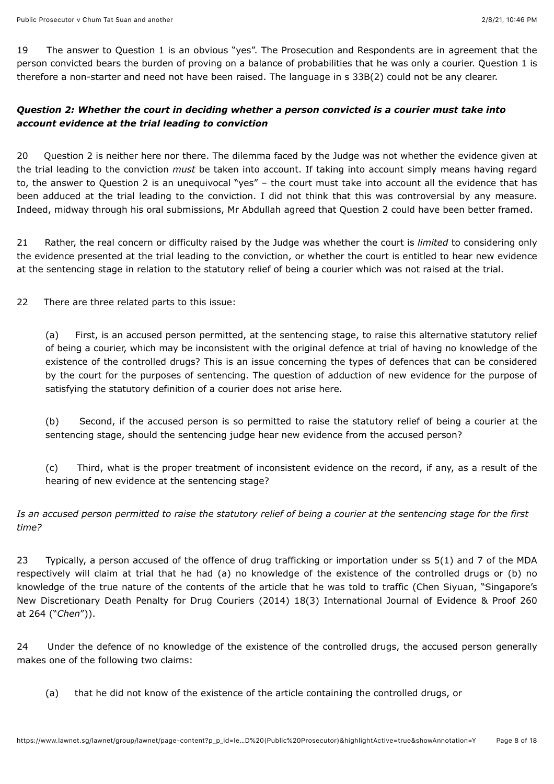<span id="page-7-0"></span>19 The answer to Question 1 is an obvious "yes". The Prosecution and Respondents are in agreement that the person convicted bears the burden of proving on a balance of probabilities that he was only a courier. Question 1 is therefore a non-starter and need not have been raised. The language in s 33B(2) could not be any clearer.

# *Question 2: Whether the court in deciding whether a person convicted is a courier must take into account evidence at the trial leading to conviction*

<span id="page-7-1"></span>20 Question 2 is neither here nor there. The dilemma faced by the Judge was not whether the evidence given at the trial leading to the conviction *must* be taken into account. If taking into account simply means having regard to, the answer to Question 2 is an unequivocal "yes" – the court must take into account all the evidence that has been adduced at the trial leading to the conviction. I did not think that this was controversial by any measure. Indeed, midway through his oral submissions, Mr Abdullah agreed that Question 2 could have been better framed.

21 Rather, the real concern or difficulty raised by the Judge was whether the court is *limited* to considering only the evidence presented at the trial leading to the conviction, or whether the court is entitled to hear new evidence at the sentencing stage in relation to the statutory relief of being a courier which was not raised at the trial.

22 There are three related parts to this issue:

(a) First, is an accused person permitted, at the sentencing stage, to raise this alternative statutory relief of being a courier, which may be inconsistent with the original defence at trial of having no knowledge of the existence of the controlled drugs? This is an issue concerning the types of defences that can be considered by the court for the purposes of sentencing. The question of adduction of new evidence for the purpose of satisfying the statutory definition of a courier does not arise here.

(b) Second, if the accused person is so permitted to raise the statutory relief of being a courier at the sentencing stage, should the sentencing judge hear new evidence from the accused person?

(c) Third, what is the proper treatment of inconsistent evidence on the record, if any, as a result of the hearing of new evidence at the sentencing stage?

# *Is an accused person permitted to raise the statutory relief of being a courier at the sentencing stage for the first time?*

<span id="page-7-2"></span>23 Typically, a person accused of the offence of drug trafficking or importation under ss 5(1) and 7 of the MDA respectively will claim at trial that he had (a) no knowledge of the existence of the controlled drugs or (b) no knowledge of the true nature of the contents of the article that he was told to traffic (Chen Siyuan, "Singapore's New Discretionary Death Penalty for Drug Couriers (2014) 18(3) International Journal of Evidence & Proof 260 at 264 ("*Chen*")).

24 Under the defence of no knowledge of the existence of the controlled drugs, the accused person generally makes one of the following two claims:

(a) that he did not know of the existence of the article containing the controlled drugs, or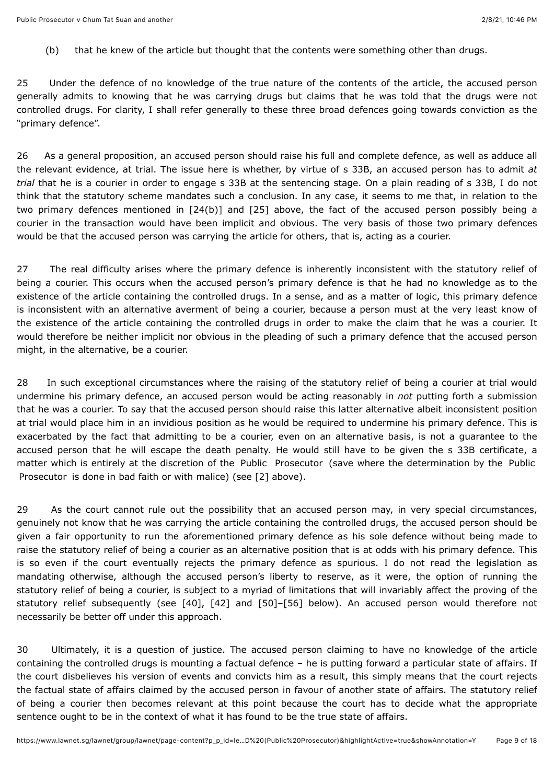(b) that he knew of the article but thought that the contents were something other than drugs.

25 Under the defence of no knowledge of the true nature of the contents of the article, the accused person generally admits to knowing that he was carrying drugs but claims that he was told that the drugs were not controlled drugs. For clarity, I shall refer generally to these three broad defences going towards conviction as the "primary defence".

<span id="page-8-0"></span>26 As a general proposition, an accused person should raise his full and complete defence, as well as adduce all the relevant evidence, at trial. The issue here is whether, by virtue of s 33B, an accused person has to admit *at trial* that he is a courier in order to engage s 33B at the sentencing stage. On a plain reading of s 33B, I do not think that the statutory scheme mandates such a conclusion. In any case, it seems to me that, in relation to the two primary defences mentioned in [24(b)] and [25] above, the fact of the accused person possibly being a courier in the transaction would have been implicit and obvious. The very basis of those two primary defences would be that the accused person was carrying the article for others, that is, acting as a courier.

27 The real difficulty arises where the primary defence is inherently inconsistent with the statutory relief of being a courier. This occurs when the accused person's primary defence is that he had no knowledge as to the existence of the article containing the controlled drugs. In a sense, and as a matter of logic, this primary defence is inconsistent with an alternative averment of being a courier, because a person must at the very least know of the existence of the article containing the controlled drugs in order to make the claim that he was a courier. It would therefore be neither implicit nor obvious in the pleading of such a primary defence that the accused person might, in the alternative, be a courier.

28 In such exceptional circumstances where the raising of the statutory relief of being a courier at trial would undermine his primary defence, an accused person would be acting reasonably in *not* putting forth a submission that he was a courier. To say that the accused person should raise this latter alternative albeit inconsistent position at trial would place him in an invidious position as he would be required to undermine his primary defence. This is exacerbated by the fact that admitting to be a courier, even on an alternative basis, is not a guarantee to the accused person that he will escape the death penalty. He would still have to be given the s 33B certificate, a matter which is entirely at the discretion of the Public Prosecutor (save where the determination by the Public Prosecutor is done in bad faith or with malice) (see [2] above).

29 As the court cannot rule out the possibility that an accused person may, in very special circumstances, genuinely not know that he was carrying the article containing the controlled drugs, the accused person should be given a fair opportunity to run the aforementioned primary defence as his sole defence without being made to raise the statutory relief of being a courier as an alternative position that is at odds with his primary defence. This is so even if the court eventually rejects the primary defence as spurious. I do not read the legislation as mandating otherwise, although the accused person's liberty to reserve, as it were, the option of running the statutory relief of being a courier, is subject to a myriad of limitations that will invariably affect the proving of the statutory relief subsequently (see [40], [42] and [50]–[56] below). An accused person would therefore not necessarily be better off under this approach.

30 Ultimately, it is a question of justice. The accused person claiming to have no knowledge of the article containing the controlled drugs is mounting a factual defence – he is putting forward a particular state of affairs. If the court disbelieves his version of events and convicts him as a result, this simply means that the court rejects the factual state of affairs claimed by the accused person in favour of another state of affairs. The statutory relief of being a courier then becomes relevant at this point because the court has to decide what the appropriate sentence ought to be in the context of what it has found to be the true state of affairs.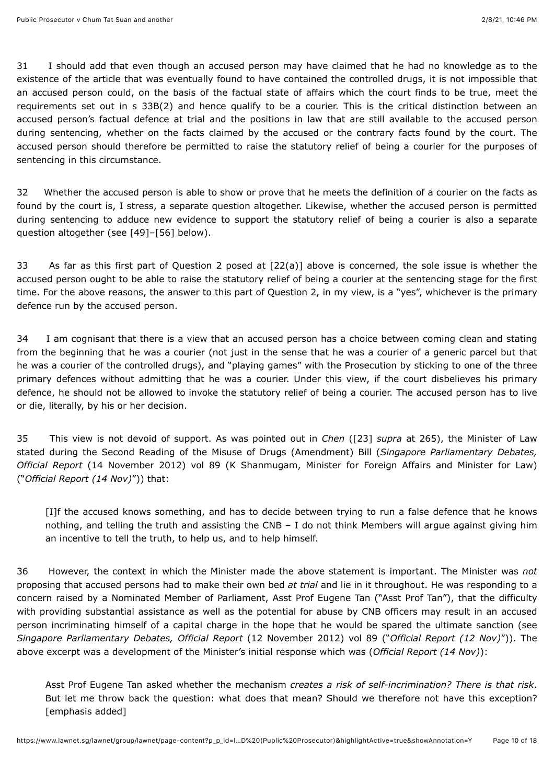31 I should add that even though an accused person may have claimed that he had no knowledge as to the existence of the article that was eventually found to have contained the controlled drugs, it is not impossible that an accused person could, on the basis of the factual state of affairs which the court finds to be true, meet the requirements set out in s 33B(2) and hence qualify to be a courier. This is the critical distinction between an accused person's factual defence at trial and the positions in law that are still available to the accused person during sentencing, whether on the facts claimed by the accused or the contrary facts found by the court. The accused person should therefore be permitted to raise the statutory relief of being a courier for the purposes of sentencing in this circumstance.

32 Whether the accused person is able to show or prove that he meets the definition of a courier on the facts as found by the court is, I stress, a separate question altogether. Likewise, whether the accused person is permitted during sentencing to adduce new evidence to support the statutory relief of being a courier is also a separate question altogether (see [49]–[56] below).

33 As far as this first part of Question 2 posed at [22(a)] above is concerned, the sole issue is whether the accused person ought to be able to raise the statutory relief of being a courier at the sentencing stage for the first time. For the above reasons, the answer to this part of Question 2, in my view, is a "yes", whichever is the primary defence run by the accused person.

34 I am cognisant that there is a view that an accused person has a choice between coming clean and stating from the beginning that he was a courier (not just in the sense that he was a courier of a generic parcel but that he was a courier of the controlled drugs), and "playing games" with the Prosecution by sticking to one of the three primary defences without admitting that he was a courier. Under this view, if the court disbelieves his primary defence, he should not be allowed to invoke the statutory relief of being a courier. The accused person has to live or die, literally, by his or her decision.

35 This view is not devoid of support. As was pointed out in *Chen* [\(\[23\]](#page-7-2) *supra* at 265), the Minister of Law stated during the Second Reading of the Misuse of Drugs (Amendment) Bill (*Singapore Parliamentary Debates, Official Report* (14 November 2012) vol 89 (K Shanmugam, Minister for Foreign Affairs and Minister for Law) ("*Official Report (14 Nov)*")) that:

[I]f the accused knows something, and has to decide between trying to run a false defence that he knows nothing, and telling the truth and assisting the CNB – I do not think Members will argue against giving him an incentive to tell the truth, to help us, and to help himself.

36 However, the context in which the Minister made the above statement is important. The Minister was *not* proposing that accused persons had to make their own bed *at trial* and lie in it throughout. He was responding to a concern raised by a Nominated Member of Parliament, Asst Prof Eugene Tan ("Asst Prof Tan"), that the difficulty with providing substantial assistance as well as the potential for abuse by CNB officers may result in an accused person incriminating himself of a capital charge in the hope that he would be spared the ultimate sanction (see *Singapore Parliamentary Debates, Official Report* (12 November 2012) vol 89 ("*Official Report (12 Nov)*")). The above excerpt was a development of the Minister's initial response which was (*Official Report (14 Nov)*):

Asst Prof Eugene Tan asked whether the mechanism *creates a risk of self-incrimination? There is that risk*. But let me throw back the question: what does that mean? Should we therefore not have this exception? [emphasis added]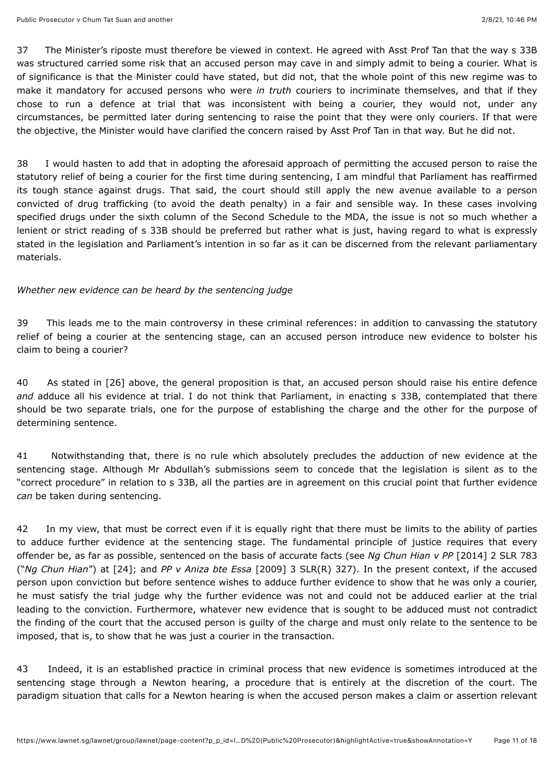37 The Minister's riposte must therefore be viewed in context. He agreed with Asst Prof Tan that the way s 33B was structured carried some risk that an accused person may cave in and simply admit to being a courier. What is of significance is that the Minister could have stated, but did not, that the whole point of this new regime was to make it mandatory for accused persons who were *in truth* couriers to incriminate themselves, and that if they chose to run a defence at trial that was inconsistent with being a courier, they would not, under any circumstances, be permitted later during sentencing to raise the point that they were only couriers. If that were the objective, the Minister would have clarified the concern raised by Asst Prof Tan in that way. But he did not.

38 I would hasten to add that in adopting the aforesaid approach of permitting the accused person to raise the statutory relief of being a courier for the first time during sentencing, I am mindful that Parliament has reaffirmed its tough stance against drugs. That said, the court should still apply the new avenue available to a person convicted of drug trafficking (to avoid the death penalty) in a fair and sensible way. In these cases involving specified drugs under the sixth column of the Second Schedule to the MDA, the issue is not so much whether a lenient or strict reading of s 33B should be preferred but rather what is just, having regard to what is expressly stated in the legislation and Parliament's intention in so far as it can be discerned from the relevant parliamentary materials.

## *Whether new evidence can be heard by the sentencing judge*

39 This leads me to the main controversy in these criminal references: in addition to canvassing the statutory relief of being a courier at the sentencing stage, can an accused person introduce new evidence to bolster his claim to being a courier?

40 As stated in [26] above, the general proposition is that, an accused person should raise his entire defence *and* adduce all his evidence at trial. I do not think that Parliament, in enacting s 33B, contemplated that there should be two separate trials, one for the purpose of establishing the charge and the other for the purpose of determining sentence.

<span id="page-10-0"></span>41 Notwithstanding that, there is no rule which absolutely precludes the adduction of new evidence at the sentencing stage. Although Mr Abdullah's submissions seem to concede that the legislation is silent as to the "correct procedure" in relation to s 33B, all the parties are in agreement on this crucial point that further evidence *can* be taken during sentencing.

<span id="page-10-1"></span>42 In my view, that must be correct even if it is equally right that there must be limits to the ability of parties to adduce further evidence at the sentencing stage. The fundamental principle of justice requires that every offender be, as far as possible, sentenced on the basis of accurate facts (see *Ng Chun Hian v PP* [\[2014\] 2 SLR 783](javascript:viewPageContent() ("*Ng Chun Hian*") at [24]; and *PP v Aniza bte Essa* [\[2009\] 3 SLR\(R\) 327](javascript:viewPageContent()). In the present context, if the accused person upon conviction but before sentence wishes to adduce further evidence to show that he was only a courier, he must satisfy the trial judge why the further evidence was not and could not be adduced earlier at the trial leading to the conviction. Furthermore, whatever new evidence that is sought to be adduced must not contradict the finding of the court that the accused person is guilty of the charge and must only relate to the sentence to be imposed, that is, to show that he was just a courier in the transaction.

43 Indeed, it is an established practice in criminal process that new evidence is sometimes introduced at the sentencing stage through a Newton hearing, a procedure that is entirely at the discretion of the court. The paradigm situation that calls for a Newton hearing is when the accused person makes a claim or assertion relevant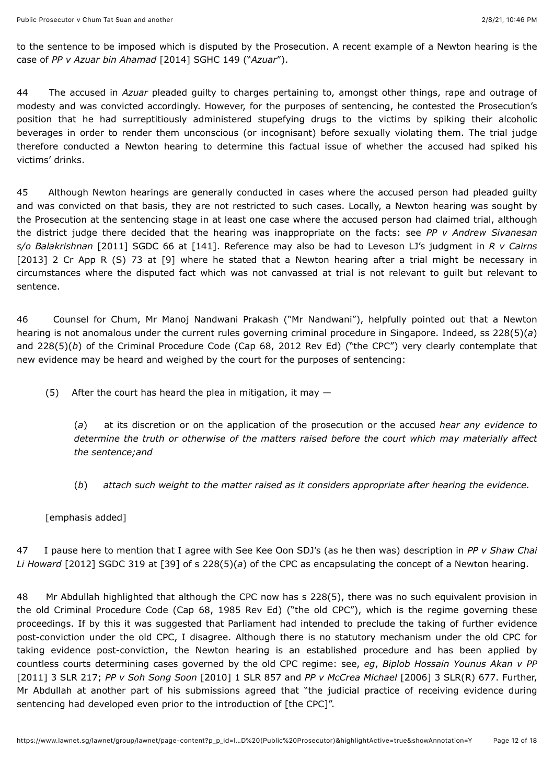to the sentence to be imposed which is disputed by the Prosecution. A recent example of a Newton hearing is the case of *PP v Azuar bin Ahamad* [\[2014\] SGHC 149](javascript:viewPageContent() ("*Azuar*").

44 The accused in *Azuar* pleaded guilty to charges pertaining to, amongst other things, rape and outrage of modesty and was convicted accordingly. However, for the purposes of sentencing, he contested the Prosecution's position that he had surreptitiously administered stupefying drugs to the victims by spiking their alcoholic beverages in order to render them unconscious (or incognisant) before sexually violating them. The trial judge therefore conducted a Newton hearing to determine this factual issue of whether the accused had spiked his victims' drinks.

45 Although Newton hearings are generally conducted in cases where the accused person had pleaded guilty and was convicted on that basis, they are not restricted to such cases. Locally, a Newton hearing was sought by the Prosecution at the sentencing stage in at least one case where the accused person had claimed trial, although the district judge there decided that the hearing was inappropriate on the facts: see *PP v Andrew Sivanesan s/o Balakrishnan* [\[2011\] SGDC 66](javascript:viewPageContent() at [141]. Reference may also be had to Leveson LJ's judgment in *R v Cairns* [2013] 2 Cr App R (S) 73 at [9] where he stated that a Newton hearing after a trial might be necessary in circumstances where the disputed fact which was not canvassed at trial is not relevant to guilt but relevant to sentence.

46 Counsel for Chum, Mr Manoj Nandwani Prakash ("Mr Nandwani"), helpfully pointed out that a Newton hearing is not anomalous under the current rules governing criminal procedure in Singapore. Indeed, ss 228(5)(*a*) and 228(5)(*b*) of the Criminal Procedure Code (Cap 68, 2012 Rev Ed) ("the CPC") very clearly contemplate that new evidence may be heard and weighed by the court for the purposes of sentencing:

(5) After the court has heard the plea in mitigation, it may  $-$ 

(*a*) at its discretion or on the application of the prosecution or the accused *hear any evidence to determine the truth or otherwise of the matters raised before the court which may materially affect the sentence;and*

- (*b*) *attach such weight to the matter raised as it considers appropriate after hearing the evidence.*
- [emphasis added]

47 I pause here to mention that I agree with See Kee Oon SDJ's (as he then was) description in *PP v Shaw Chai Li Howard* [\[2012\] SGDC 319](javascript:viewPageContent() at [39] of s 228(5)(*a*) of the CPC as encapsulating the concept of a Newton hearing.

48 Mr Abdullah highlighted that although the CPC now has s 228(5), there was no such equivalent provision in the old Criminal Procedure Code (Cap 68, 1985 Rev Ed) ("the old CPC"), which is the regime governing these proceedings. If by this it was suggested that Parliament had intended to preclude the taking of further evidence post-conviction under the old CPC, I disagree. Although there is no statutory mechanism under the old CPC for taking evidence post-conviction, the Newton hearing is an established procedure and has been applied by countless courts determining cases governed by the old CPC regime: see, *eg*, *Biplob Hossain Younus Akan v PP* [\[2011\] 3 SLR 217;](javascript:viewPageContent() *PP v Soh Song Soon* [\[2010\] 1 SLR 857](javascript:viewPageContent() and *PP v McCrea Michael* [\[2006\] 3 SLR\(R\) 677](javascript:viewPageContent(). Further, Mr Abdullah at another part of his submissions agreed that "the judicial practice of receiving evidence during sentencing had developed even prior to the introduction of [the CPC]".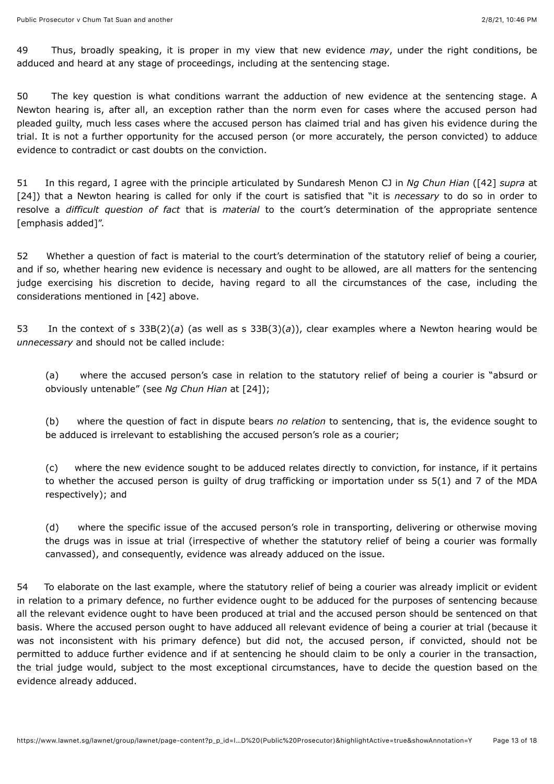49 Thus, broadly speaking, it is proper in my view that new evidence *may*, under the right conditions, be adduced and heard at any stage of proceedings, including at the sentencing stage.

50 The key question is what conditions warrant the adduction of new evidence at the sentencing stage. A Newton hearing is, after all, an exception rather than the norm even for cases where the accused person had pleaded guilty, much less cases where the accused person has claimed trial and has given his evidence during the trial. It is not a further opportunity for the accused person (or more accurately, the person convicted) to adduce evidence to contradict or cast doubts on the conviction.

<span id="page-12-0"></span>51 In this regard, I agree with the principle articulated by Sundaresh Menon CJ in *Ng Chun Hian* [\(\[42\]](#page-10-1) *supra* at [24]) that a Newton hearing is called for only if the court is satisfied that "it is *necessary* to do so in order to resolve a *difficult question of fact* that is *material* to the court's determination of the appropriate sentence [emphasis added]".

52 Whether a question of fact is material to the court's determination of the statutory relief of being a courier, and if so, whether hearing new evidence is necessary and ought to be allowed, are all matters for the sentencing judge exercising his discretion to decide, having regard to all the circumstances of the case, including the considerations mentioned in [42] above.

<span id="page-12-1"></span>53 In the context of s 33B(2)(*a*) (as well as s 33B(3)(*a*)), clear examples where a Newton hearing would be *unnecessary* and should not be called include:

(a) where the accused person's case in relation to the statutory relief of being a courier is "absurd or obviously untenable" (see *Ng Chun Hian* at [24]);

(b) where the question of fact in dispute bears *no relation* to sentencing, that is, the evidence sought to be adduced is irrelevant to establishing the accused person's role as a courier;

(c) where the new evidence sought to be adduced relates directly to conviction, for instance, if it pertains to whether the accused person is guilty of drug trafficking or importation under ss 5(1) and 7 of the MDA respectively); and

(d) where the specific issue of the accused person's role in transporting, delivering or otherwise moving the drugs was in issue at trial (irrespective of whether the statutory relief of being a courier was formally canvassed), and consequently, evidence was already adduced on the issue.

54 To elaborate on the last example, where the statutory relief of being a courier was already implicit or evident in relation to a primary defence, no further evidence ought to be adduced for the purposes of sentencing because all the relevant evidence ought to have been produced at trial and the accused person should be sentenced on that basis. Where the accused person ought to have adduced all relevant evidence of being a courier at trial (because it was not inconsistent with his primary defence) but did not, the accused person, if convicted, should not be permitted to adduce further evidence and if at sentencing he should claim to be only a courier in the transaction, the trial judge would, subject to the most exceptional circumstances, have to decide the question based on the evidence already adduced.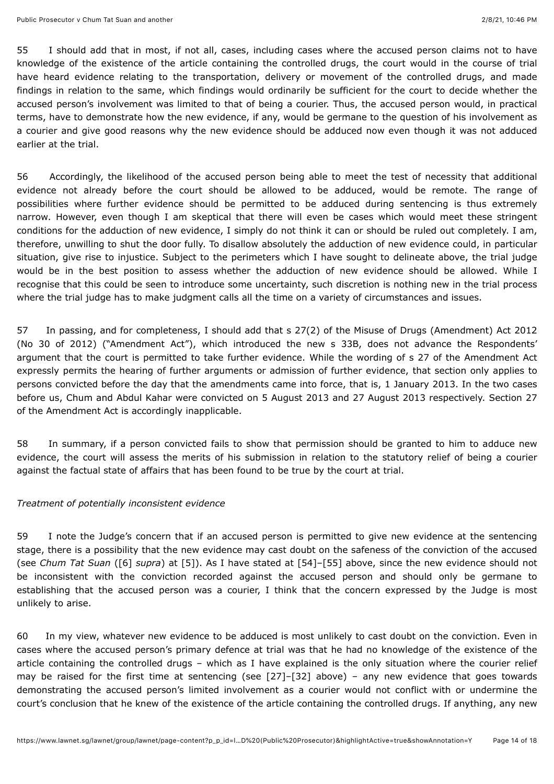<span id="page-13-0"></span>55 I should add that in most, if not all, cases, including cases where the accused person claims not to have knowledge of the existence of the article containing the controlled drugs, the court would in the course of trial have heard evidence relating to the transportation, delivery or movement of the controlled drugs, and made findings in relation to the same, which findings would ordinarily be sufficient for the court to decide whether the accused person's involvement was limited to that of being a courier. Thus, the accused person would, in practical terms, have to demonstrate how the new evidence, if any, would be germane to the question of his involvement as a courier and give good reasons why the new evidence should be adduced now even though it was not adduced earlier at the trial.

56 Accordingly, the likelihood of the accused person being able to meet the test of necessity that additional evidence not already before the court should be allowed to be adduced, would be remote. The range of possibilities where further evidence should be permitted to be adduced during sentencing is thus extremely narrow. However, even though I am skeptical that there will even be cases which would meet these stringent conditions for the adduction of new evidence, I simply do not think it can or should be ruled out completely. I am, therefore, unwilling to shut the door fully. To disallow absolutely the adduction of new evidence could, in particular situation, give rise to injustice. Subject to the perimeters which I have sought to delineate above, the trial judge would be in the best position to assess whether the adduction of new evidence should be allowed. While I recognise that this could be seen to introduce some uncertainty, such discretion is nothing new in the trial process where the trial judge has to make judgment calls all the time on a variety of circumstances and issues.

57 In passing, and for completeness, I should add that s 27(2) of the Misuse of Drugs (Amendment) Act 2012 (No 30 of 2012) ("Amendment Act"), which introduced the new s 33B, does not advance the Respondents' argument that the court is permitted to take further evidence. While the wording of s 27 of the Amendment Act expressly permits the hearing of further arguments or admission of further evidence, that section only applies to persons convicted before the day that the amendments came into force, that is, 1 January 2013. In the two cases before us, Chum and Abdul Kahar were convicted on 5 August 2013 and 27 August 2013 respectively. Section 27 of the Amendment Act is accordingly inapplicable.

58 In summary, if a person convicted fails to show that permission should be granted to him to adduce new evidence, the court will assess the merits of his submission in relation to the statutory relief of being a courier against the factual state of affairs that has been found to be true by the court at trial.

## *Treatment of potentially inconsistent evidence*

59 I note the Judge's concern that if an accused person is permitted to give new evidence at the sentencing stage, there is a possibility that the new evidence may cast doubt on the safeness of the conviction of the accused (see *Chum Tat Suan* [\(\[6\]](#page-4-0) *supra*) at [5]). As I have stated at [54]–[55] above, since the new evidence should not be inconsistent with the conviction recorded against the accused person and should only be germane to establishing that the accused person was a courier, I think that the concern expressed by the Judge is most unlikely to arise.

60 In my view, whatever new evidence to be adduced is most unlikely to cast doubt on the conviction. Even in cases where the accused person's primary defence at trial was that he had no knowledge of the existence of the article containing the controlled drugs – which as I have explained is the only situation where the courier relief may be raised for the first time at sentencing (see [27]–[32] above) – any new evidence that goes towards demonstrating the accused person's limited involvement as a courier would not conflict with or undermine the court's conclusion that he knew of the existence of the article containing the controlled drugs. If anything, any new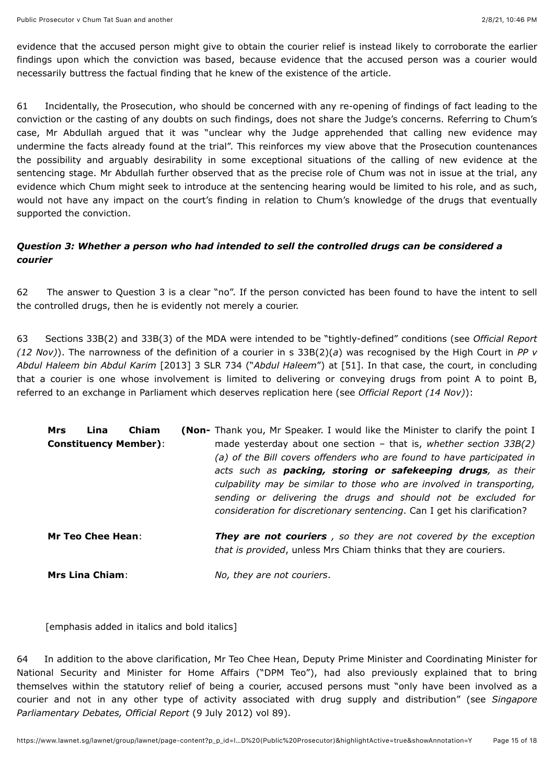evidence that the accused person might give to obtain the courier relief is instead likely to corroborate the earlier findings upon which the conviction was based, because evidence that the accused person was a courier would necessarily buttress the factual finding that he knew of the existence of the article.

61 Incidentally, the Prosecution, who should be concerned with any re-opening of findings of fact leading to the conviction or the casting of any doubts on such findings, does not share the Judge's concerns. Referring to Chum's case, Mr Abdullah argued that it was "unclear why the Judge apprehended that calling new evidence may undermine the facts already found at the trial". This reinforces my view above that the Prosecution countenances the possibility and arguably desirability in some exceptional situations of the calling of new evidence at the sentencing stage. Mr Abdullah further observed that as the precise role of Chum was not in issue at the trial, any evidence which Chum might seek to introduce at the sentencing hearing would be limited to his role, and as such, would not have any impact on the court's finding in relation to Chum's knowledge of the drugs that eventually supported the conviction.

# *Question 3: Whether a person who had intended to sell the controlled drugs can be considered a courier*

<span id="page-14-0"></span>62 The answer to Question 3 is a clear "no". If the person convicted has been found to have the intent to sell the controlled drugs, then he is evidently not merely a courier.

63 Sections 33B(2) and 33B(3) of the MDA were intended to be "tightly-defined" conditions (see *Official Report (12 Nov)*). The narrowness of the definition of a courier in s 33B(2)(*a*) was recognised by the High Court in *PP v Abdul Haleem bin Abdul Karim* [\[2013\] 3 SLR 734](javascript:viewPageContent() ("*Abdul Haleem*") at [51]. In that case, the court, in concluding that a courier is one whose involvement is limited to delivering or conveying drugs from point A to point B, referred to an exchange in Parliament which deserves replication here (see *Official Report (14 Nov)*):

| Lina<br>Mrs<br><b>Constituency Member):</b> | <b>Chiam</b> | <b>(Non-</b> Thank you, Mr Speaker. I would like the Minister to clarify the point I<br>made yesterday about one section $-$ that is, whether section 33B(2)<br>(a) of the Bill covers offenders who are found to have participated in<br>acts such as packing, storing or safekeeping drugs, as their<br>culpability may be similar to those who are involved in transporting,<br>sending or delivering the drugs and should not be excluded for<br>consideration for discretionary sentencing. Can I get his clarification? |
|---------------------------------------------|--------------|-------------------------------------------------------------------------------------------------------------------------------------------------------------------------------------------------------------------------------------------------------------------------------------------------------------------------------------------------------------------------------------------------------------------------------------------------------------------------------------------------------------------------------|
| <b>Mr Teo Chee Hean:</b>                    |              | <b>They are not couriers</b> , so they are not covered by the exception<br>that is provided, unless Mrs Chiam thinks that they are couriers.                                                                                                                                                                                                                                                                                                                                                                                  |

**Mrs Lina Chiam**: *No, they are not couriers*.

[emphasis added in italics and bold italics]

64 In addition to the above clarification, Mr Teo Chee Hean, Deputy Prime Minister and Coordinating Minister for National Security and Minister for Home Affairs ("DPM Teo"), had also previously explained that to bring themselves within the statutory relief of being a courier, accused persons must "only have been involved as a courier and not in any other type of activity associated with drug supply and distribution" (see *Singapore Parliamentary Debates, Official Report* (9 July 2012) vol 89).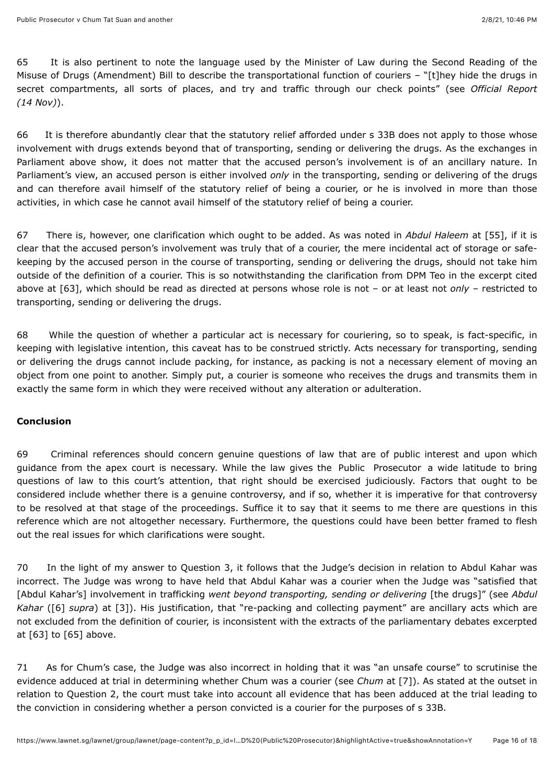65 It is also pertinent to note the language used by the Minister of Law during the Second Reading of the Misuse of Drugs (Amendment) Bill to describe the transportational function of couriers – "[t]hey hide the drugs in secret compartments, all sorts of places, and try and traffic through our check points" (see *Official Report (14 Nov)*).

66 It is therefore abundantly clear that the statutory relief afforded under s 33B does not apply to those whose involvement with drugs extends beyond that of transporting, sending or delivering the drugs. As the exchanges in Parliament above show, it does not matter that the accused person's involvement is of an ancillary nature. In Parliament's view, an accused person is either involved *only* in the transporting, sending or delivering of the drugs and can therefore avail himself of the statutory relief of being a courier, or he is involved in more than those activities, in which case he cannot avail himself of the statutory relief of being a courier.

<span id="page-15-0"></span>67 There is, however, one clarification which ought to be added. As was noted in *Abdul Haleem* at [55], if it is clear that the accused person's involvement was truly that of a courier, the mere incidental act of storage or safekeeping by the accused person in the course of transporting, sending or delivering the drugs, should not take him outside of the definition of a courier. This is so notwithstanding the clarification from DPM Teo in the excerpt cited above at [63], which should be read as directed at persons whose role is not – or at least not *only* – restricted to transporting, sending or delivering the drugs.

68 While the question of whether a particular act is necessary for couriering, so to speak, is fact-specific, in keeping with legislative intention, this caveat has to be construed strictly. Acts necessary for transporting, sending or delivering the drugs cannot include packing, for instance, as packing is not a necessary element of moving an object from one point to another. Simply put, a courier is someone who receives the drugs and transmits them in exactly the same form in which they were received without any alteration or adulteration.

## **Conclusion**

69 Criminal references should concern genuine questions of law that are of public interest and upon which guidance from the apex court is necessary. While the law gives the Public Prosecutor a wide latitude to bring questions of law to this court's attention, that right should be exercised judiciously. Factors that ought to be considered include whether there is a genuine controversy, and if so, whether it is imperative for that controversy to be resolved at that stage of the proceedings. Suffice it to say that it seems to me there are questions in this reference which are not altogether necessary. Furthermore, the questions could have been better framed to flesh out the real issues for which clarifications were sought.

70 In the light of my answer to Question 3, it follows that the Judge's decision in relation to Abdul Kahar was incorrect. The Judge was wrong to have held that Abdul Kahar was a courier when the Judge was "satisfied that [Abdul Kahar's] involvement in trafficking *went beyond transporting, sending or delivering* [the drugs]" (see *Abdul Kahar* [\(\[6\]](#page-4-0) *supra*) at [3]). His justification, that "re-packing and collecting payment" are ancillary acts which are not excluded from the definition of courier, is inconsistent with the extracts of the parliamentary debates excerpted at [63] to [65] above.

71 As for Chum's case, the Judge was also incorrect in holding that it was "an unsafe course" to scrutinise the evidence adduced at trial in determining whether Chum was a courier (see *Chum* at [7]). As stated at the outset in relation to Question 2, the court must take into account all evidence that has been adduced at the trial leading to the conviction in considering whether a person convicted is a courier for the purposes of s 33B.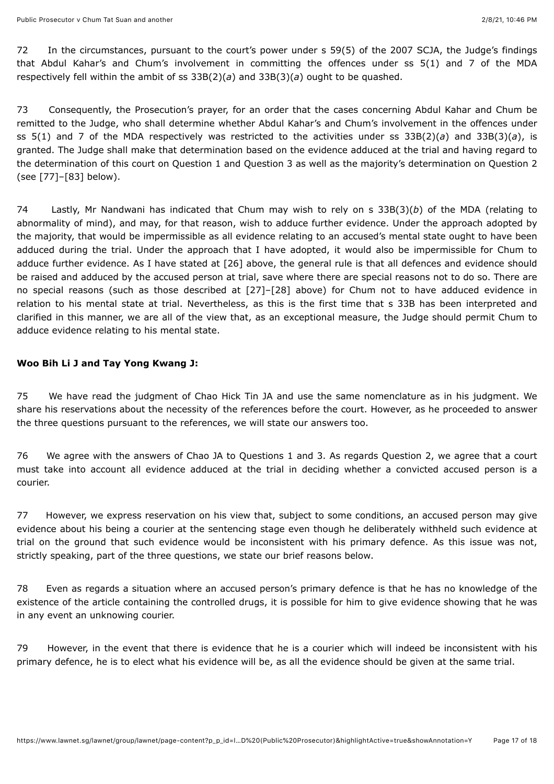72 In the circumstances, pursuant to the court's power under s 59(5) of the 2007 SCJA, the Judge's findings that Abdul Kahar's and Chum's involvement in committing the offences under ss 5(1) and 7 of the MDA respectively fell within the ambit of ss 33B(2)(*a*) and 33B(3)(*a*) ought to be quashed.

73 Consequently, the Prosecution's prayer, for an order that the cases concerning Abdul Kahar and Chum be remitted to the Judge, who shall determine whether Abdul Kahar's and Chum's involvement in the offences under ss 5(1) and 7 of the MDA respectively was restricted to the activities under ss 33B(2)(*a*) and 33B(3)(*a*), is granted. The Judge shall make that determination based on the evidence adduced at the trial and having regard to the determination of this court on Question 1 and Question 3 as well as the majority's determination on Question 2 (see [77]–[83] below).

74 Lastly, Mr Nandwani has indicated that Chum may wish to rely on s 33B(3)(*b*) of the MDA (relating to abnormality of mind), and may, for that reason, wish to adduce further evidence. Under the approach adopted by the majority, that would be impermissible as all evidence relating to an accused's mental state ought to have been adduced during the trial. Under the approach that I have adopted, it would also be impermissible for Chum to adduce further evidence. As I have stated at [26] above, the general rule is that all defences and evidence should be raised and adduced by the accused person at trial, save where there are special reasons not to do so. There are no special reasons (such as those described at [27]–[28] above) for Chum not to have adduced evidence in relation to his mental state at trial. Nevertheless, as this is the first time that s 33B has been interpreted and clarified in this manner, we are all of the view that, as an exceptional measure, the Judge should permit Chum to adduce evidence relating to his mental state.

## **Woo Bih Li J and Tay Yong Kwang J:**

75 We have read the judgment of Chao Hick Tin JA and use the same nomenclature as in his judgment. We share his reservations about the necessity of the references before the court. However, as he proceeded to answer the three questions pursuant to the references, we will state our answers too.

76 We agree with the answers of Chao JA to Questions 1 and 3. As regards Question 2, we agree that a court must take into account all evidence adduced at the trial in deciding whether a convicted accused person is a courier.

<span id="page-16-0"></span>77 However, we express reservation on his view that, subject to some conditions, an accused person may give evidence about his being a courier at the sentencing stage even though he deliberately withheld such evidence at trial on the ground that such evidence would be inconsistent with his primary defence. As this issue was not, strictly speaking, part of the three questions, we state our brief reasons below.

78 Even as regards a situation where an accused person's primary defence is that he has no knowledge of the existence of the article containing the controlled drugs, it is possible for him to give evidence showing that he was in any event an unknowing courier.

<span id="page-16-1"></span>79 However, in the event that there is evidence that he is a courier which will indeed be inconsistent with his primary defence, he is to elect what his evidence will be, as all the evidence should be given at the same trial.